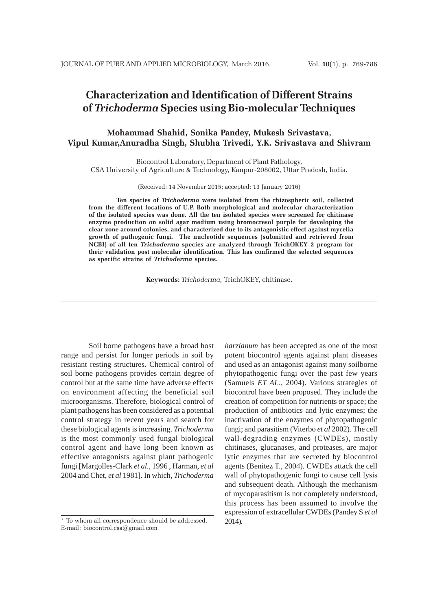# **Characterization and Identification of Different Strains of** *Trichoderma* **Species using Bio-molecular Techniques**

## **Mohammad Shahid, Sonika Pandey, Mukesh Srivastava, Vipul Kumar,Anuradha Singh, Shubha Trivedi, Y.K. Srivastava and Shivram**

Biocontrol Laboratory, Department of Plant Pathology, CSA University of Agriculture & Technology, Kanpur-208002, Uttar Pradesh, India.

(Received: 14 November 2015; accepted: 13 January 2016)

**Ten species of** *Trichoderma* **were isolated from the rhizospheric soil, collected from the different locations of U.P. Both morphological and molecular characterization of the isolated species was done. All the ten isolated species were screened for chitinase enzyme production on solid agar medium using bromocresol purple for developing the clear zone around colonies, and characterized due to its antagonistic effect against mycelia growth of pathogenic fungi. The nucleotide sequences (submitted and retrieved from NCBI) of all ten** *Trichoderma* **species are analyzed through TrichOKEY 2 program for their validation post molecular identification. This has confirmed the selected sequences as specific strains of** *Trichoderma* **species.**

**Keywords:** *Trichoderma,* TrichOKEY, chitinase.

Soil borne pathogens have a broad host range and persist for longer periods in soil by resistant resting structures. Chemical control of soil borne pathogens provides certain degree of control but at the same time have adverse effects on environment affecting the beneficial soil microorganisms. Therefore, biological control of plant pathogens has been considered as a potential control strategy in recent years and search for these biological agents is increasing. *Trichoderma* is the most commonly used fungal biological control agent and have long been known as effective antagonists against plant pathogenic fungi [Margolles-Clark *et al*., 1996 , Harman, *et al* 2004 and Chet, *et al* 1981]. In which, *Trichoderma*

*harzianum* has been accepted as one of the most potent biocontrol agents against plant diseases and used as an antagonist against many soilborne phytopathogenic fungi over the past few years (Samuels *ET AL*., 2004). Various strategies of biocontrol have been proposed. They include the creation of competition for nutrients or space; the production of antibiotics and lytic enzymes; the inactivation of the enzymes of phytopathogenic fungi; and parasitism (Viterbo *et al* 2002). The cell wall-degrading enzymes (CWDEs), mostly chitinases, glucanases, and proteases, are major lytic enzymes that are secreted by biocontrol agents (Benitez T., 2004). CWDEs attack the cell wall of phytopathogenic fungi to cause cell lysis and subsequent death. Although the mechanism of mycoparasitism is not completely understood, this process has been assumed to involve the expression of extracellular CWDEs (Pandey S *et al* 2014).

<sup>\*</sup> To whom all correspondence should be addressed. E-mail: biocontrol.csa@gmail.com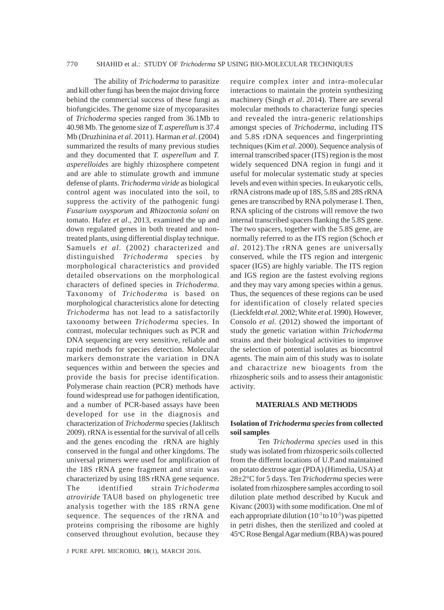The ability of *Trichoderma* to parasitize and kill other fungi has been the major driving force behind the commercial success of these fungi as biofungicides. The genome size of mycoparasites of *Trichoderma* species ranged from 36.1Mb to 40.98 Mb. The genome size of *T. asperellum* is 37.4 Mb (Druzhinina *et al*. 2011). Harman *et al*. (2004) summarized the results of many previous studies and they documented that *T. asperellum* and *T. asperelloides* are highly rhizosphere competent and are able to stimulate growth and immune defense of plants. *Trichoderma viride* as biological control agent was inoculated into the soil, to suppress the activity of the pathogenic fungi *Fusarium oxysporum* and *Rhizoctonia solani* on tomato. Hafez *et al*., 2013, examined the up and down regulated genes in both treated and nontreated plants, using differential display technique. Samuels *et al.* (2002) characterized and distinguished *Trichoderma* species by morphological characteristics and provided detailed observations on the morphological characters of defined species in *Trichoderma.* Taxonomy of *Trichoderma* is based on morphological characteristics alone for detecting *Trichoderma* has not lead to a satisfactorily taxonomy between *Trichoderma* species. In contrast, molecular techniques such as PCR and DNA sequencing are very sensitive, reliable and rapid methods for species detection. Molecular markers demonstrate the variation in DNA sequences within and between the species and provide the basis for precise identification. Polymerase chain reaction (PCR) methods have found widespread use for pathogen identification, and a number of PCR-based assays have been developed for use in the diagnosis and characterization of *Trichoderma* species (Jaklitsch 2009). rRNA is essential for the survival of all cells and the genes encoding the rRNA are highly conserved in the fungal and other kingdoms. The universal primers were used for amplification of the 18S rRNA gene fragment and strain was characterized by using 18S rRNA gene sequence. The identified strain *Trichoderma atroviride* TAU8 based on phylogenetic tree analysis together with the 18S rRNA gene sequence. The sequences of the rRNA and proteins comprising the ribosome are highly conserved throughout evolution, because they

J PURE APPL MICROBIO*,* **10**(1), MARCH 2016.

require complex inter and intra-molecular interactions to maintain the protein synthesizing machinery (Singh *et al*. 2014). There are several molecular methods to characterize fungi species and revealed the intra-generic relationships amongst species of *Trichoderma*, including ITS and 5.8S rDNA sequences and fingerprinting techniques (Kim *et al*. 2000). Sequence analysis of internal transcribed spacer (ITS) region is the most widely sequenced DNA region in fungi and it useful for molecular systematic study at species levels and even within species. In eukaryotic cells, rRNA cistrons made up of 18S, 5.8S and 28S rRNA genes are transcribed by RNA polymerase I. Then, RNA splicing of the cistrons will remove the two internal transcribed spacers flanking the 5.8S gene. The two spacers, together with the 5.8S gene, are normally referred to as the ITS region (Schoch *et al*. 2012).The rRNA genes are universally conserved, while the ITS region and intergenic spacer (IGS) are highly variable. The ITS region and IGS region are the fastest evolving regions and they may vary among species within a genus. Thus, the sequences of these regions can be used for identification of closely related species (Lieckfeldt *et al*. 2002; White *et al*. 1990). However, Consolo *et al*. (2012) showed the important of study the genetic variation within *Trichoderma* strains and their biological activities to improve the selection of potential isolates as biocontrol agents. The main aim of this study was to isolate and charactrize new bioagents from the rhizospheric soils and to assess their antagonistic activity.

#### **MATERIALS AND METHODS**

#### **Isolation of** *Trichoderma species* **from collected soil samples**

Ten *Trichoderma species* used in this study was isolated from rhizosperic soils collected from the differnt locations of U.P.and maintained on potato dextrose agar (PDA) (Himedia, USA) at 28±2°C for 5 days. Ten *Trichoderma* species were isolated from rhizosphere samples according to soil dilution plate method described by Kucuk and Kivanc (2003) with some modification. One ml of each appropriate dilution  $(10^{-3}$  to  $10^{-5})$  was pipetted in petri dishes, then the sterilized and cooled at 45°C Rose Bengal Agar medium (RBA) was poured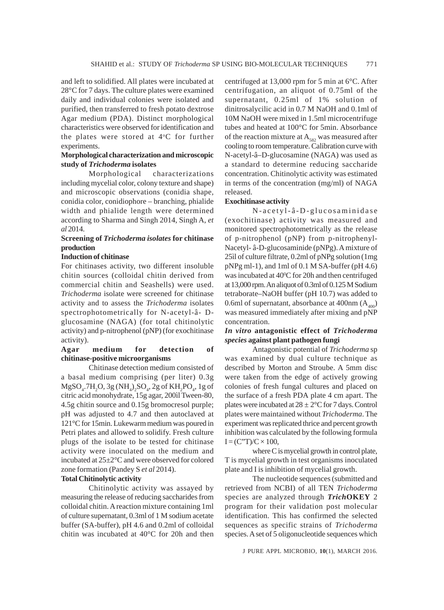and left to solidified. All plates were incubated at 28°C for 7 days. The culture plates were examined daily and individual colonies were isolated and purified, then transferred to fresh potato dextrose Agar medium (PDA). Distinct morphological characteristics were observed for identification and the plates were stored at 4°C for further experiments.

## **Morphological characterization and microscopic study of** *Trichoderma* **isolates**

Morphological characterizations including mycelial color, colony texture and shape) and microscopic observations (conidia shape, conidia color, conidiophore – branching, phialide width and phialide length were determined according to Sharma and Singh 2014, Singh A, *et al* 2014.

## **Screening of** *Trichoderma isolates* **for chitinase production**

#### **Induction of chitinase**

For chitinases activity, two different insoluble chitin sources (colloidal chitin derived from commercial chitin and Seashells) were used. *Trichoderma* isolate were screened for chitinase activity and to assess the *Trichoderma* isolates spectrophotometrically for N-acetyl-â- Dglucosamine (NAGA) (for total chitinolytic activity) and p-nitrophenol (pNP) (for exochitinase activity).

## **Agar medium for detection of chitinase-positive microorganisms**

Chitinase detection medium consisted of a basal medium comprising (per liter) 0.3g  $MgSO_4$ .7H<sub>2</sub>O, 3g (NH<sub>4</sub>)<sub>2</sub>SO<sub>4</sub>, 2g of KH<sub>2</sub>PO<sub>4</sub>, 1g of citric acid monohydrate, 15g agar, 200ìl Tween-80, 4.5g chitin source and 0.15g bromocresol purple; pH was adjusted to 4.7 and then autoclaved at 121°C for 15min. Lukewarm medium was poured in Petri plates and allowed to solidify. Fresh culture plugs of the isolate to be tested for chitinase activity were inoculated on the medium and incubated at 25±2°C and were observed for colored zone formation (Pandey S *et al* 2014).

## **Total Chitinolytic activity**

Chitinolytic activity was assayed by measuring the release of reducing saccharides from colloidal chitin. A reaction mixture containing 1ml of culture supernatant, 0.3ml of 1 M sodium acetate buffer (SA-buffer), pH 4.6 and 0.2ml of colloidal chitin was incubated at 40°C for 20h and then centrifuged at 13,000 rpm for 5 min at 6°C. After centrifugation, an aliquot of 0.75ml of the supernatant, 0.25ml of 1% solution of dinitrosalycilic acid in 0.7 M NaOH and 0.1ml of 10M NaOH were mixed in 1.5ml microcentrifuge tubes and heated at 100°C for 5min. Absorbance of the reaction mixture at  $A_{ss}$  was measured after cooling to room temperature. Calibration curve with N-acetyl-â–D-glucosamine (NAGA) was used as a standard to determine reducing saccharide concentration. Chitinolytic activity was estimated in terms of the concentration (mg/ml) of NAGA released.

#### **Exochitinase activity**

N-acetyl-â-D-glucosaminidase (exochitinase) activity was measured and monitored spectrophotometrically as the release of p-nitrophenol (pNP) from p-nitrophenyl-Nacetyl- â-D-glucosaminide (pNPg). A mixture of 25ìl of culture filtrate, 0.2ml of pNPg solution (1mg pNPg ml-1), and 1ml of 0.1 M SA-buffer (pH 4.6) was incubated at 40°C for 20h and then centrifuged at 13,000 rpm. An aliquot of 0.3ml of 0.125 M Sodium tetraborate–NaOH buffer (pH 10.7) was added to 0.6ml of supernatant, absorbance at 400nm  $(A_{400})$ was measured immediately after mixing and pNP concentration.

## *In vitro* **antagonistic effect of** *Trichoderma species* **against plant pathogen fungi**

Antagonistic potential of *Trichoderma* sp was examined by dual culture technique as described by Morton and Stroube. A 5mm disc were taken from the edge of actively growing colonies of fresh fungal cultures and placed on the surface of a fresh PDA plate 4 cm apart. The plates were incubated at  $28 \pm 2^{\circ}$ C for 7 days. Control plates were maintained without *Trichoderma*. The experiment was replicated thrice and percent growth inhibition was calculated by the following formula  $I = (C^{\prime\prime}T)/C \times 100$ ,

where C is mycelial growth in control plate, T is mycelial growth in test organisms inoculated plate and I is inhibition of mycelial growth.

The nucleotide sequences (submitted and retrieved from NCBI) of all TEN *Trichoderma* species are analyzed through *Trich***OKEY** 2 program for their validation post molecular identification. This has confirmed the selected sequences as specific strains of *Trichoderma* species. A set of 5 oligonucleotide sequences which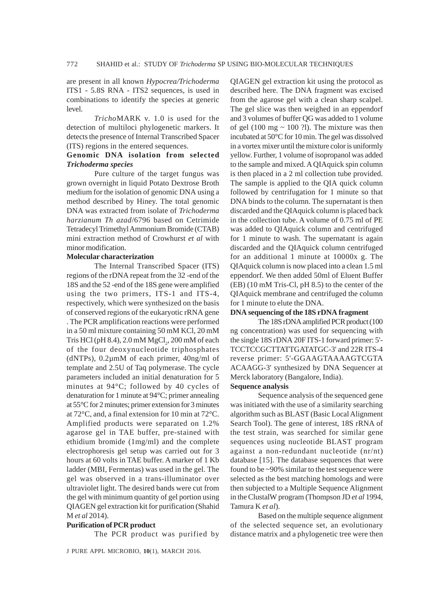are present in all known *Hypocrea/Trichoderma* ITS1 - 5.8S RNA - ITS2 sequences, is used in combinations to identify the species at generic level.

*Tricho*MARK v. 1.0 is used for the detection of multiloci phylogenetic markers. It detects the presence of Internal Transcribed Spacer (ITS) regions in the entered sequences.

#### **Genomic DNA isolation from selected** *Trichoderma species*

Pure culture of the target fungus was grown overnight in liquid Potato Dextrose Broth medium for the isolation of genomic DNA using a method described by Hiney. The total genomic DNA was extracted from isolate of *Trichoderma harzianum Th azad*/6796 based on Cetrimide Tetradecyl Trimethyl Ammonium Bromide (CTAB) mini extraction method of Crowhurst *et al* with minor modification.

#### **Molecular characterization**

The Internal Transcribed Spacer (ITS) regions of the rDNA repeat from the 32 -end of the 18S and the 52 -end of the 18S gene were amplified using the two primers, ITS-1 and ITS-4, respectively, which were synthesized on the basis of conserved regions of the eukaryotic rRNA gene . The PCR amplification reactions were performed in a 50 ml mixture containing 50 mM KCl, 20 mM Tris HCl (pH 8.4),  $2.0 \text{ mM MgCl}_2$ ,  $200 \text{ mM of each}$ of the four deoxynucleotide triphosphates (dNTPs), 0.2µmM of each primer, 40ng/ml of template and 2.5U of Taq polymerase. The cycle parameters included an initial denaturation for 5 minutes at 94°C; followed by 40 cycles of denaturation for 1 minute at 94°C; primer annealing at 55°C for 2 minutes; primer extension for 3 minutes at 72°C, and, a final extension for 10 min at 72°C. Amplified products were separated on 1.2% agarose gel in TAE buffer, pre-stained with ethidium bromide (1mg/ml) and the complete electrophoresis gel setup was carried out for 3 hours at 60 volts in TAE buffer. A marker of 1 Kb ladder (MBI, Fermentas) was used in the gel. The gel was observed in a trans-illuminator over ultraviolet light. The desired bands were cut from the gel with minimum quantity of gel portion using QIAGEN gel extraction kit for purification (Shahid M *et al* 2014).

## **Purification of PCR product**

The PCR product was purified by

J PURE APPL MICROBIO*,* **10**(1), MARCH 2016.

QIAGEN gel extraction kit using the protocol as described here. The DNA fragment was excised from the agarose gel with a clean sharp scalpel. The gel slice was then weighed in an eppendorf and 3 volumes of buffer QG was added to 1 volume of gel (100 mg  $\sim$  100 ?l). The mixture was then incubated at 50°C for 10 min. The gel was dissolved in a vortex mixer until the mixture color is uniformly yellow. Further, 1 volume of isopropanol was added to the sample and mixed. A QIAquick spin column is then placed in a 2 ml collection tube provided. The sample is applied to the QIA quick column followed by centrifugation for 1 minute so that DNA binds to the column. The supernatant is then discarded and the QIAquick column is placed back in the collection tube. A volume of 0.75 ml of PE was added to QIAquick column and centrifuged for 1 minute to wash. The supernatant is again discarded and the QIAquick column centrifuged for an additional 1 minute at 10000x g. The QIAquick column is now placed into a clean 1.5 ml eppendorf. We then added 50ml of Eluent Buffer (EB) (10 mM Tris-Cl, pH 8.5) to the center of the QIAquick membrane and centrifuged the column for 1 minute to elute the DNA.

#### **DNA sequencing of the 18S rDNA fragment**

The 18S rDNA amplified PCR product (100 ng concentration) was used for sequencing with the single 18S rDNA 20F ITS-1 forward primer: 5'- TCCTCCGCTTATTGATATGC-3' and 22R ITS-4 reverse primer: 5'-GGAAGTAAAAGTCGTA ACAAGG-3' synthesized by DNA Sequencer at Merck laboratory (Bangalore, India).

#### **Sequence analysis**

Sequence analysis of the sequenced gene was initiated with the use of a similarity searching algorithm such as BLAST (Basic Local Alignment Search Tool). The gene of interest, 18S rRNA of the test strain, was searched for similar gene sequences using nucleotide BLAST program against a non-redundant nucleotide (nr/nt) database [15]. The database sequences that were found to be ~90% similar to the test sequence were selected as the best matching homologs and were then subjected to a Multiple Sequence Alignment in the ClustalW program (Thompson JD *et al* 1994, Tamura K *et al*).

Based on the multiple sequence alignment of the selected sequence set, an evolutionary distance matrix and a phylogenetic tree were then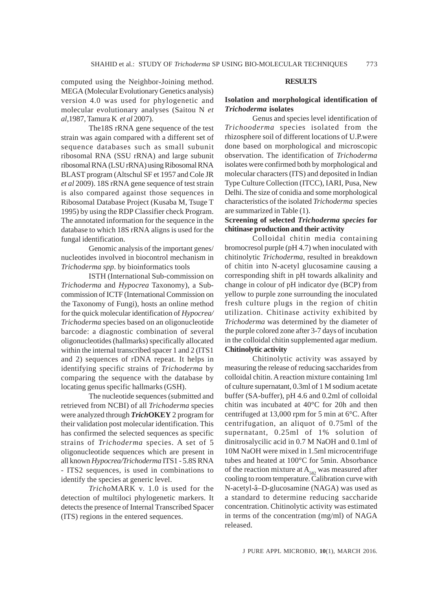computed using the Neighbor-Joining method. MEGA (Molecular Evolutionary Genetics analysis) version 4.0 was used for phylogenetic and molecular evolutionary analyses (Saitou N *et al*,1987, Tamura K *et al* 2007).

The18S rRNA gene sequence of the test strain was again compared with a different set of sequence databases such as small subunit ribosomal RNA (SSU rRNA) and large subunit ribosomal RNA (LSU rRNA) using Ribosomal RNA BLAST program (Altschul SF et 1957 and Cole JR *et al* 2009). 18S rRNA gene sequence of test strain is also compared against those sequences in Ribosomal Database Project (Kusaba M, Tsuge T 1995) by using the RDP Classifier check Program. The annotated information for the sequence in the database to which 18S rRNA aligns is used for the fungal identification.

Genomic analysis of the important genes/ nucleotides involved in biocontrol mechanism in *Trichoderma spp*. by bioinformatics tools

ISTH (International Sub-commission on *Trichoderma* and *Hypocrea* Taxonomy), a Subcommission of ICTF (International Commission on the Taxonomy of Fungi), hosts an online method for the quick molecular identification of *Hypocrea/ Trichoderma* species based on an oligonucleotide barcode: a diagnostic combination of several oligonucleotides (hallmarks) specifically allocated within the internal transcribed spacer 1 and 2 (ITS1 and 2) sequences of rDNA repeat. It helps in identifying specific strains of *Trichoderma* by comparing the sequence with the database by locating genus specific hallmarks (GSH).

The nucleotide sequences (submitted and retrieved from NCBI) of all *Trichoderma* species were analyzed through *Trich***OKEY** 2 program for their validation post molecular identification. This has confirmed the selected sequences as specific strains of *Trichoderma* species. A set of 5 oligonucleotide sequences which are present in all known *Hypocrea/Trichoderma* ITS1 - 5.8S RNA - ITS2 sequences, is used in combinations to identify the species at generic level.

*Tricho*MARK v. 1.0 is used for the detection of multiloci phylogenetic markers. It detects the presence of Internal Transcribed Spacer (ITS) regions in the entered sequences.

#### **RESULTS**

## **Isolation and morphological identification of** *Trichoderma* **isolates**

Genus and species level identification of *Trichooderma* species isolated from the rhizosphere soil of different locations of U.P.were done based on morphological and microscopic observation. The identification of *Trichoderma* isolates were confirmed both by morphological and molecular characters (ITS) and deposited in Indian Type Culture Collection (ITCC), IARI, Pusa, New Delhi. The size of conidia and some morphological characteristics of the isolated *Trichoderma* species are summarized in Table (1).

## **Screening of selected** *Trichoderma species* **for chitinase production and their activity**

Colloidal chitin media containing bromocresol purple (pH 4.7) when inoculated with chitinolytic *Trichoderma*, resulted in breakdown of chitin into N-acetyl glucosamine causing a corresponding shift in pH towards alkalinity and change in colour of pH indicator dye (BCP) from yellow to purple zone surrounding the inoculated fresh culture plugs in the region of chitin utilization. Chitinase activity exhibited by *Trichoderma* was determined by the diameter of the purple colored zone after 3-7 days of incubation in the colloidal chitin supplemented agar medium. **Chitinolytic activity**

Chitinolytic activity was assayed by measuring the release of reducing saccharides from colloidal chitin. A reaction mixture containing 1ml of culture supernatant, 0.3ml of 1 M sodium acetate buffer (SA-buffer), pH 4.6 and 0.2ml of colloidal chitin was incubated at 40°C for 20h and then centrifuged at 13,000 rpm for 5 min at 6°C. After centrifugation, an aliquot of 0.75ml of the supernatant, 0.25ml of 1% solution of dinitrosalycilic acid in 0.7 M NaOH and 0.1ml of 10M NaOH were mixed in 1.5ml microcentrifuge tubes and heated at 100°C for 5min. Absorbance of the reaction mixture at  $A_{582}$  was measured after cooling to room temperature. Calibration curve with N-acetyl-â–D-glucosamine (NAGA) was used as a standard to determine reducing saccharide concentration. Chitinolytic activity was estimated in terms of the concentration (mg/ml) of NAGA released.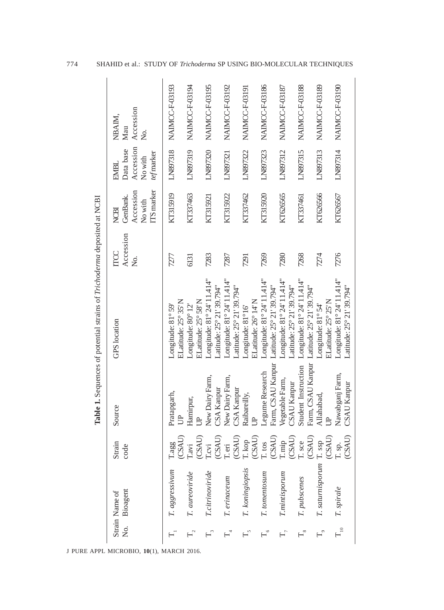|                      |                            |                                              |                                          | Table 1. Sequences of potential strains of Trichoderma deposited at NCBI |                                    |                                                               |                                                                |                                      |
|----------------------|----------------------------|----------------------------------------------|------------------------------------------|--------------------------------------------------------------------------|------------------------------------|---------------------------------------------------------------|----------------------------------------------------------------|--------------------------------------|
| ,<br>Ž               | Bioagent<br>Strain Name of | Strain<br>code                               | Source                                   | <b>GPS</b> location                                                      | Accession<br><b>TTCC</b><br>,<br>Ž | ITS marker<br>Accession<br>GenBank.<br>No with<br><b>NCBI</b> | Accession<br>Data base<br>tef marker<br>No with<br><b>EMBL</b> | Accession<br>NBAIM,<br>Mau<br>,<br>Ž |
|                      | T. aggressivum             | (CSAU)<br>I.aggg                             | Pratapgarh,<br>户                         | ELatitude: 25° 35' N<br>Longitude: 81° 59'                               | 7277                               | KT315919                                                      | LN897318                                                       | NAIMCC-F-03193                       |
|                      | T. aureoviride             | (CSAU)<br>$\Gamma$ avi                       | Hamirpur,<br>$\overline{B}$              | ELatitude: 25° 58' N<br>Longitude: 80° 12'                               | 6131                               | KT337463                                                      | LN897319                                                       | NAIMCC-F-03194                       |
| $\mathbb{F}_3$       | T.citrinoviride            | (CSAU)<br>$\Gamma$ cvi                       | New Dairy Farm,<br>CSA Kanpur            | Longitude: 81° 24' 11.414"<br>Latitude: 25° 21' 39.794"                  | 7283                               | KT315921                                                      | LN897320                                                       | NAIMCC-F-03195                       |
| $\mathbb{H}^4$       | T. erinaceum               | (CSAU)<br>T.eri                              | New Dairy Farm,<br>CSA Kanpur            | Longitude: 81° 24' 11.414"<br>Latitude: 25° 21' 39.794"                  | 7287                               | KT315922                                                      | LN897321                                                       | NAIMCC-F-03192                       |
|                      | T. koningiopsis            | (CSAU)<br>T. kop                             | Raibareilly,<br>$\triangleright$         | ELatitude: 26° 14'N<br>Longitude: 81°16'                                 | 7291                               | KT337462                                                      | LN897322                                                       | NAIMCC-F-03191                       |
| $\mathbb{H}^{\circ}$ | T. tomentosum              | (CSAU)<br>$\Gamma$ . tos                     | Farm, CSAU Kanpur<br>Legume Research     | Longitude: 81° 24' 11.414"<br>Latitude: 25° 21' 39.794"                  | 7269                               | KT315920                                                      | LN897323                                                       | NAIMCC-F-03186                       |
| $T_{7}$              | <b>T.mintisporum</b>       | (CSAU)<br>$\mathbf{T}.\mathbf{m} \mathbf{p}$ | Vegetable Farm,<br><b>CSAU Kanpur</b>    | Longitude: 81° 24' 11.414"<br>Latitude: 25° 21' 39.794"                  | 7280                               | KT626565                                                      | LN897312                                                       | NAIMCC-F-03187                       |
| $\overline{18}$      | T. pubscenes               | (CSAU)<br>T. sce                             | Farm, CSAU Kanpur<br>Student Instruction | Longitude: 81° 24' 11.414"<br>Latitude: 25° 21' 39.794"                  | 7268                               | KT337461                                                      | LN897315                                                       | NAIMCC-F-03188                       |
| $\mathbb{H}^{\circ}$ | T. saturnisporum           | (CSAU)<br>T. ssp                             | Allahabad,                               | ELatitude: 25° 25' N<br>Longitude: 81° 54'                               | 7274                               | KT626566                                                      | LN897313                                                       | NAIMCC-F-03189                       |
| $T_{10}$             | T. spirale                 | (CSAU)<br>T. sp.                             | Nawabganj Farm,<br>CSAU Kanpur           | Longitude: 81° 24' 11.414"<br>Latitude: 25° 21' 39.794"                  | 7276                               | KT626567                                                      | LN897314                                                       | NAIMCC-F-03190                       |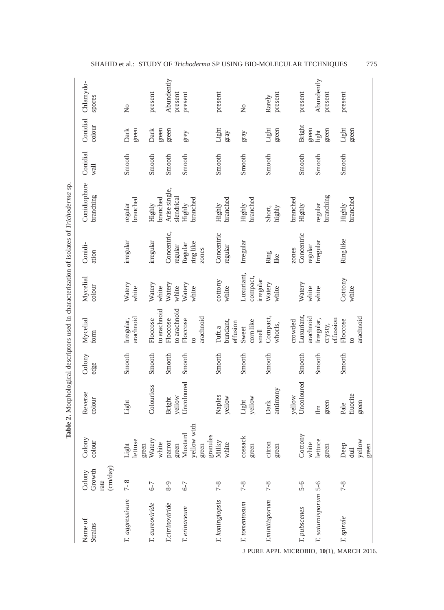|                                                        |                                              |                                             | 2. Morphological descriptors used in characterization of isolates of Trichoderma sp. |                |                                                     |                                     |                                |                             |                  |                        |                       |
|--------------------------------------------------------|----------------------------------------------|---------------------------------------------|--------------------------------------------------------------------------------------|----------------|-----------------------------------------------------|-------------------------------------|--------------------------------|-----------------------------|------------------|------------------------|-----------------------|
| Name of<br>Strains                                     | $\text{cm/day)}$<br>Growth<br>Colony<br>rate | Colony<br>colour                            | Reverse<br>colour                                                                    | Colony<br>edge | Mycelial<br>form                                    | Mycelial<br>colour                  | Conidi-<br>ation               | Conidiophore<br>branching   | Conidial<br>wall | Conidial<br>colour     | Chlamydo-<br>spores   |
| T. aggressivum                                         | $7 - 8$                                      | lettuse<br>green<br>Light                   | Light                                                                                | Smooth         | arachnoid<br>Irregular,                             | Watery<br>white                     | irregular                      | branched<br>regular         | Smooth           | green<br>Dark          | $\overline{a}$        |
| T. aureoviride                                         | $6 - 7$                                      | Watery<br>white                             | Colourless                                                                           | Smooth         | to arachnoid<br>Floccose                            | Watery<br>white                     | irregular                      | branched<br>Highly          | Smooth           | Dark<br>green          | present               |
| T.citrinoviride                                        | $8 - 9$                                      | parrot<br>green                             | vellow<br><b>Bright</b>                                                              | Smooth         | o arachnoid<br>Floccose                             | Watery<br>white                     | Concentric,<br>regular         | Arise single,<br>slendrical | Smooth           | green                  | Abundently<br>present |
| T. erinaceum                                           | $6 - 7$                                      | yellow with<br>Mustard<br>granules<br>green | Uncoloured                                                                           | Smooth         | arachnoid<br>Floccose<br>$\overline{c}$             | Watery<br>white                     | ring like<br>Regular<br>zones  | branched<br>Highly          | Smooth           | grey                   | present               |
| T. koningiopsis                                        | $7 - 8$                                      | Milky<br>white                              | Naples<br>yellow                                                                     | Smooth         | bundant,<br>effusion<br>Tuft.a                      | cottony<br>white                    | Concentric<br>regular          | branched<br>Highly          | Smooth           | Light<br>gray          | present               |
| T. tomentosum                                          | $7 - 8$                                      | cossack<br>green                            | yellow<br>Light                                                                      | Smooth         | corn like<br>Sweet<br>$\mathop{\rm smell}\nolimits$ | Luxuriant,<br>compact,<br>irregular | Irregular                      | branched<br>Highly          | Smooth           | gray                   | $\overline{a}$        |
| <b>T.minitisporum</b>                                  | $7 - 8$                                      | citron<br>green                             | antimony<br>Dark                                                                     | Smooth         | Compact,<br>whorls,                                 | Watery<br>white                     | Ring<br>like                   | Short,<br>highly            | Smooth           | Light<br>green         | present<br>Rarely     |
| T. pubscenes                                           | $5 - 6$                                      | Cottony<br>white                            | Uncoloured<br>yellow                                                                 | Smooth         | Luxuriant<br>arachnoid<br>crowded                   | Watery<br>white                     | Concentric<br>regular<br>zones | branched<br>Highly          | Smooth           | <b>Bright</b><br>green | present               |
| T. saturnisporum 5-6                                   |                                              | lettuce<br>green                            | green<br>$\mathbb{I}$                                                                | Smooth         | Irregular,<br>effussion<br>crysty,                  | white                               | Irregular                      | branching<br>regular        | Smooth           | green<br>light         | Abundently<br>present |
| T. spirale<br>J PURE APPL MICROBIO, 10(1), MARCH 2016. | $7 - 8$                                      | yellow<br>Deep<br>green<br>$\overline{d}$   | fluorite<br>green<br>Pale                                                            | Smooth         | arachnoid<br>Floccose<br>$\overline{c}$             | Cottony<br>white                    | Ring like                      | branched<br>Highly          | Smooth           | Light<br>green         | present               |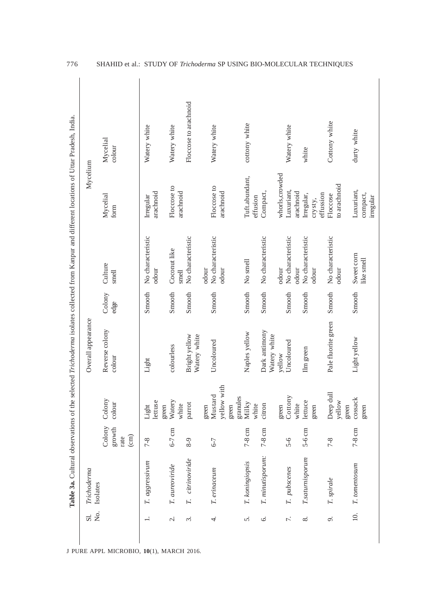| Trichoderma      |                                            |                                     | Overall appearance            |                |                                     | Mycelium                            |                       |
|------------------|--------------------------------------------|-------------------------------------|-------------------------------|----------------|-------------------------------------|-------------------------------------|-----------------------|
| Isolates         | Colony<br>growth<br>$\binom{cm}{}$<br>rate | Colony<br>colour                    | Reverse colony<br>colour      | Colony<br>edge | Culture<br>smell                    | Mycelial<br>form                    | Mycelial<br>colour    |
| T. aggressivum   | $7 - 8$                                    | lettuse<br>green<br>Light           | Light                         | Smooth         | No characteristic<br>odour          | arachnoid<br>Irregular              | Watery white          |
| T. aureoviride   | $6-7$ cm                                   | Watery<br>white                     | colourless                    | Smooth         | Coconut like<br>smell               | Floccose to<br>arachnoid            | Watery white          |
| T. citrinoviride | $8 - 9$                                    | parrot                              | Bright yellow<br>Watery white | Smooth         | No characteristic                   |                                     | Floccose to arachnoid |
| T. erinaceum     | $6 - 7$                                    | yellow with<br>Mustard<br>green     | Uncoloured                    | Smooth         | No characteristic<br>odour<br>odour | Floccose to<br>arachnoid            | Watery white          |
| T. koningiopsis  | $7-8$ cm                                   | granules<br>Milky<br>white<br>green | Naples yellow                 | Smooth         | No smell                            | Tuft.abundant,<br>effusion          | cottony white         |
| T. minutisporum: | $7-8$ cm                                   | citron                              | Dark antimony<br>Watery white | Smooth         | No characteristic                   | Compact,                            |                       |
| T. pubscenes     | $5 - 6$                                    | Cottony<br>green                    | Uncoloured<br>yellow          | Smooth         | No characteristic<br>odour          | whorls, crowded<br>Luxuriant,       | Watery white          |
|                  |                                            | white                               |                               |                | odour                               | arachnoid                           |                       |
| T.saturnisporum  | $5-6$ cm                                   | lettuce<br>green                    | Ilm green                     | Smooth         | No characteristic<br>odour          | effussion<br>Irregular,<br>crysty,  | white                 |
| T. spirale       | $7 - 8$                                    | Deep dull<br>yellow<br>green        | Pale fluorite green           | Smooth         | No characteristic<br>odour          | to arachnoid<br>Floccose            | Cottony white         |
| T. tomentosum    | $7-8$ cm                                   | cossack<br>green                    | Light yellow                  | Smooth         | Sweet corn<br>like smell            | Luxuriant,<br>compact,<br>irregular | durty white           |

776 SHAHID et al.: STUDY OF *Trichoderma* SP USING BIO-MOLECULAR TECHNIQUES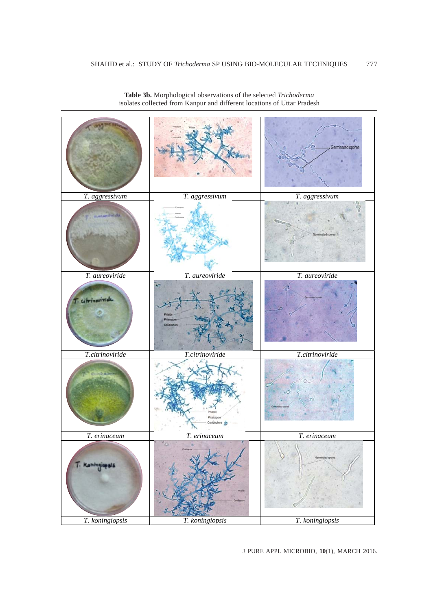

**Table 3b.** Morphological observations of the selected *Trichoderma* isolates collected from Kanpur and different locations of Uttar Pradesh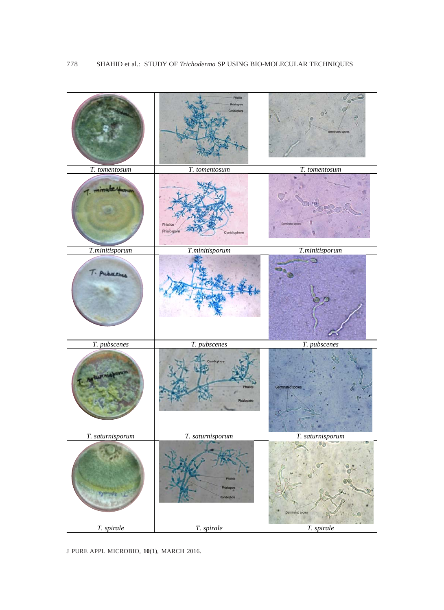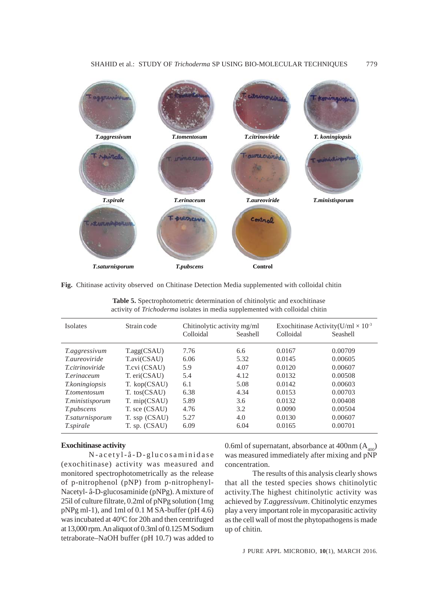

**Fig.** Chitinase activity observed on Chitinase Detection Media supplemented with colloidal chitin

| <b>Isolates</b>        | Strain code              | Chitinolytic activity mg/ml |          | Exochitinase Activity(U/ml $\times$ 10 <sup>-3</sup> |          |
|------------------------|--------------------------|-----------------------------|----------|------------------------------------------------------|----------|
|                        |                          | Colloidal                   | Seashell | Colloidal                                            | Seashell |
| <i>T.aggressivum</i>   | T <sub>.agg</sub> (CSAU) | 7.76                        | 6.6      | 0.0167                                               | 0.00709  |
| <i>T aureoviride</i>   | T.avi(CSAU)              | 6.06                        | 5.32     | 0.0145                                               | 0.00605  |
| <i>T.citrinoviride</i> | T.cvi (CSAU)             | 5.9                         | 4.07     | 0.0120                                               | 0.00607  |
| <i>T.erinaceum</i>     | T. eri(CSAU)             | 5.4                         | 4.12     | 0.0132                                               | 0.00508  |
| <i>T.koningiopsis</i>  | T. kop(CSAU)             | 6.1                         | 5.08     | 0.0142                                               | 0.00603  |
| <i>T.tomentosum</i>    | T. tos(CSAU)             | 6.38                        | 4.34     | 0.0153                                               | 0.00703  |
| <i>T.ministisporum</i> | T. mip(CSAU)             | 5.89                        | 3.6      | 0.0132                                               | 0.00408  |
| <i>T.pubscens</i>      | T. sce (CSAU)            | 4.76                        | 3.2      | 0.0090                                               | 0.00504  |
| T.saturnisporum        | T. ssp (CSAU)            | 5.27                        | 4.0      | 0.0130                                               | 0.00607  |
| <i>T.spirale</i>       | T. sp. (CSAU)            | 6.09                        | 6.04     | 0.0165                                               | 0.00701  |

**Table 5.** Spectrophotometric determination of chitinolytic and exochitinase activity of *Trichoderma* isolates in media supplemented with colloidal chitin

## **Exochitinase activity**

N-acetyl-â-D-glucosaminidase (exochitinase) activity was measured and monitored spectrophotometrically as the release of p-nitrophenol (pNP) from p-nitrophenyl-Nacetyl- â-D-glucosaminide (pNPg). A mixture of 25ìl of culture filtrate, 0.2ml of pNPg solution (1mg pNPg ml-1), and 1ml of 0.1 M SA-buffer (pH 4.6) was incubated at 40°C for 20h and then centrifuged at 13,000 rpm. An aliquot of 0.3ml of 0.125 M Sodium tetraborate–NaOH buffer (pH 10.7) was added to 0.6ml of supernatant, absorbance at 400nm  $(A_{400})$ was measured immediately after mixing and pNP concentration.

The results of this analysis clearly shows that all the tested species shows chitinolytic activity.The highest chitinolytic activity was achieved by *T.aggressivum*. Chitinolytic enzymes play a very important role in mycoparasitic activity as the cell wall of most the phytopathogens is made up of chitin*.*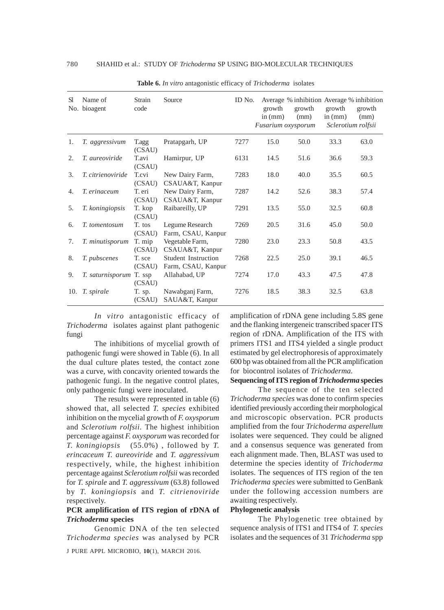| S1  | Name of<br>No. bioagent  | Strain<br>code   | Source                                    | ID No. | growth<br>in (mm)<br>Fusarium oxysporum | growth<br>(mm) | Average % inhibition Average % inhibition<br>growth<br>in $(mm)$<br>Sclerotium rolfsii | growth<br>(mm) |
|-----|--------------------------|------------------|-------------------------------------------|--------|-----------------------------------------|----------------|----------------------------------------------------------------------------------------|----------------|
| 1.  | T. aggressivum           | T.agg<br>(CSAU)  | Pratapgarh, UP                            | 7277   | 15.0                                    | 50.0           | 33.3                                                                                   | 63.0           |
| 2.  | T. aureoviride           | T.avi<br>(CSAU)  | Hamirpur, UP                              | 6131   | 14.5                                    | 51.6           | 36.6                                                                                   | 59.3           |
| 3.  | <i>T. citrienoviride</i> | T.cvi<br>(CSAU)  | New Dairy Farm,<br>CSAUA&T, Kanpur        | 7283   | 18.0                                    | 40.0           | 35.5                                                                                   | 60.5           |
| 4.  | T. erinaceum             | T. eri<br>(CSAU) | New Dairy Farm,<br>CSAUA&T, Kanpur        | 7287   | 14.2                                    | 52.6           | 38.3                                                                                   | 57.4           |
| 5.  | T. koningiopsis          | T. kop<br>(CSAU) | Raibareilly, UP                           | 7291   | 13.5                                    | 55.0           | 32.5                                                                                   | 60.8           |
| 6.  | T. tomentosum            | T. tos<br>(CSAU) | Legume Research<br>Farm, CSAU, Kanpur     | 7269   | 20.5                                    | 31.6           | 45.0                                                                                   | 50.0           |
| 7.  | T. minutisporum          | T. mip<br>(CSAU) | Vegetable Farm,<br>CSAUA&T, Kanpur        | 7280   | 23.0                                    | 23.3           | 50.8                                                                                   | 43.5           |
| 8.  | T. pubscenes             | T. sce<br>(CSAU) | Student Instruction<br>Farm, CSAU, Kanpur | 7268   | 22.5                                    | 25.0           | 39.1                                                                                   | 46.5           |
| 9.  | T. saturnisporum T. ssp  | (CSAU)           | Allahabad, UP                             | 7274   | 17.0                                    | 43.3           | 47.5                                                                                   | 47.8           |
| 10. | <i>T. spirale</i>        | T. sp.<br>(CSAU) | Nawabganj Farm,<br>SAUA&T, Kanpur         | 7276   | 18.5                                    | 38.3           | 32.5                                                                                   | 63.8           |

**Table 6.** *In vitro* antagonistic efficacy of *Trichoderma* isolates

*In vitro* antagonistic efficacy of *Trichoderma* isolates against plant pathogenic fungi

The inhibitions of mycelial growth of pathogenic fungi were showed in Table (6). In all the dual culture plates tested, the contact zone was a curve, with concavity oriented towards the pathogenic fungi. In the negative control plates, only pathogenic fungi were inoculated.

The results were represented in table (6) showed that, all selected *T. species* exhibited inhibition on the mycelial growth of *F. oxysporum* and *Sclerotium rolfsii*. The highest inhibition percentage against *F. oxysporum* was recorded for *T. koningiopsis* (55.0%) , followed by *T. erincaceum T. aureoviride* and *T. aggressivum* respectively, while, the highest inhibition percentage against *Sclerotium rolfsii* was recorded for *T. spirale* and *T. aggressivum* (63.8) followed by *T. koningiopsis* and *T. citrienoviride* respectively.

## **PCR amplification of ITS region of rDNA of** *Trichoderma* **species**

J PURE APPL MICROBIO*,* **10**(1), MARCH 2016. Genomic DNA of the ten selected *Trichoderma species* was analysed by PCR

amplification of rDNA gene including 5.8S gene and the flanking intergeneic transcribed spacer ITS region of rDNA. Amplification of the ITS with primers ITS1 and ITS4 yielded a single product estimated by gel electrophoresis of approximately 600 bp was obtained from all the PCR amplification for biocontrol isolates of *Trichoderma.*

#### **Sequencing of ITS region of** *Trichoderma* **species**

The sequence of the ten selected *Trichoderma species* was done to confirm species identified previously according their morphological and microscopic observation. PCR products amplified from the four *Trichoderma asperellum* isolates were sequenced. They could be aligned and a consensus sequence was generated from each alignment made. Then, BLAST was used to determine the species identity of *Trichoderma* isolates. The sequences of ITS region of the ten *Trichoderma species* were submitted to GenBank under the following accession numbers are awaiting respectively.

### **Phylogenetic analysis**

The Phylogenetic tree obtained by sequence analysis of ITS1 and ITS4 of *T. species* isolates and the sequences of 31 *Trichoderma* spp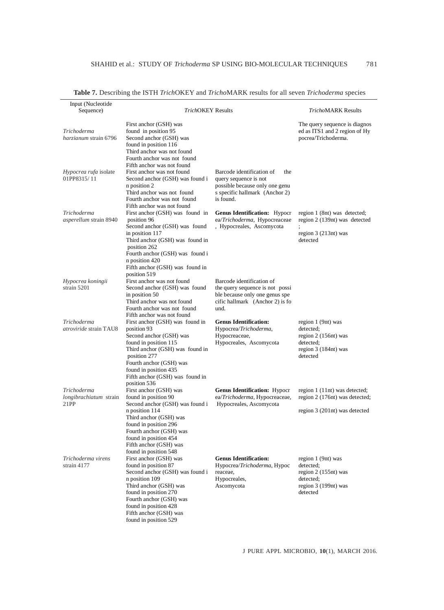| Input (Nucleotide<br>Sequence)                | <b>TrichOKEY Results</b>                                                                                                                                                                                                                                      |                                                                                                                                            | TrichoMARK Results                                                                                        |
|-----------------------------------------------|---------------------------------------------------------------------------------------------------------------------------------------------------------------------------------------------------------------------------------------------------------------|--------------------------------------------------------------------------------------------------------------------------------------------|-----------------------------------------------------------------------------------------------------------|
| Trichoderma<br>harzianum strain 6796          | First anchor (GSH) was<br>found in position 95<br>Second anchor (GSH) was<br>found in position 116<br>Third anchor was not found<br>Fourth anchor was not found                                                                                               |                                                                                                                                            | The query sequence is diagnos<br>ed as ITS1 and 2 region of Hy<br>pocrea/Trichoderma.                     |
| Hypocrea rufa isolate<br>01PP8315/11          | Fifth anchor was not found<br>First anchor was not found<br>Second anchor (GSH) was found i<br>n position 2<br>Third anchor was not found<br>Fourth anchor was not found<br>Fifth anchor was not found                                                        | Barcode identification of<br>the<br>query sequence is not<br>possible because only one genu<br>s specific hallmark (Anchor 2)<br>is found. |                                                                                                           |
| Trichoderma<br>asperellum strain 8940         | First anchor (GSH) was found in<br>position 96<br>Second anchor (GSH) was found<br>in position 117<br>Third anchor (GSH) was found in<br>position 262<br>Fourth anchor (GSH) was found i<br>n position 420<br>Fifth anchor (GSH) was found in<br>position 519 | <b>Genus Identification:</b> Hypocr<br>ea/Trichoderma, Hypocreaceae<br>, Hypocreales, Ascomycota                                           | region 1 (8nt) was detected;<br>region 2 (139nt) was detected<br>region $3(213nt)$ was<br>detected        |
| Hypocrea koningii<br>strain 5201              | First anchor was not found<br>Second anchor (GSH) was found<br>in position 50<br>Third anchor was not found<br>Fourth anchor was not found<br>Fifth anchor was not found                                                                                      | Barcode identification of<br>the query sequence is not possi<br>ble because only one genus spe<br>cific hallmark (Anchor 2) is fo<br>und.  |                                                                                                           |
| Trichoderma<br><i>atroviride</i> strain TAU8  | First anchor (GSH) was found in<br>position 93<br>Second anchor (GSH) was<br>found in position 115<br>Third anchor (GSH) was found in<br>position 277<br>Fourth anchor (GSH) was<br>found in position 435<br>Fifth anchor (GSH) was found in<br>position 536  | <b>Genus Identification:</b><br>Hypocrea/Trichoderma,<br>Hypocreaceae,<br>Hypocreales, Ascomycota                                          | region 1 (9nt) was<br>detected;<br>region 2 (156nt) was<br>detected;<br>region 3 (184nt) was<br>detected  |
| Trichoderma<br>longibrachiatum strain<br>21PP | First anchor (GSH) was<br>found in position 90<br>Second anchor (GSH) was found i<br>n position 114<br>Third anchor (GSH) was<br>found in position 296<br>Fourth anchor (GSH) was<br>found in position 454<br>Fifth anchor (GSH) was<br>found in position 548 | <b>Genus Identification: Hypocr</b><br>ea/Trichoderma, Hypocreaceae,<br>Hypocreales, Ascomycota                                            | region 1 (11nt) was detected;<br>region 2 (176nt) was detected;<br>region 3 (201nt) was detected          |
| Trichoderma virens<br>strain 4177             | First anchor (GSH) was<br>found in position 87<br>Second anchor (GSH) was found i<br>n position 109<br>Third anchor (GSH) was<br>found in position 270<br>Fourth anchor (GSH) was<br>found in position 428<br>Fifth anchor (GSH) was<br>found in position 529 | <b>Genus Identification:</b><br>Hypocrea/Trichoderma, Hypoc<br>reaceae,<br>Hypocreales,<br>Ascomycota                                      | region 1 (9nt) was<br>detected;<br>region 2 (155nt) was<br>detected;<br>region $3(199nt)$ was<br>detected |

**Table 7.** Describing the ISTH *Trich*OKEY and *Tricho*MARK results for all seven *Trichoderma* species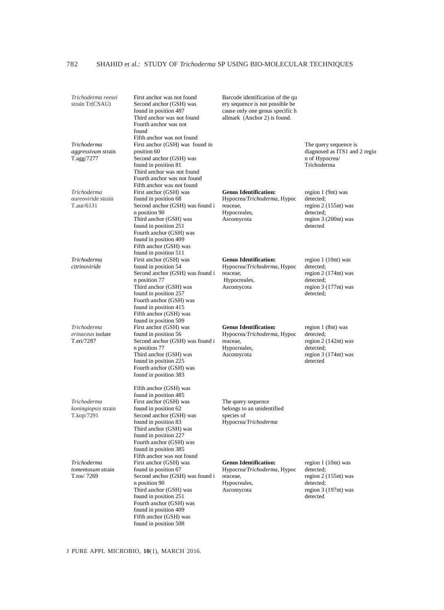| Trichoderma reesei<br>strain Tr(CSAU)                          | First anchor was not found<br>Second anchor (GSH) was<br>found in position 487<br>Third anchor was not found<br>Fourth anchor was not<br>found                                                                                                                                             | Barcode identification of the qu<br>ery sequence is not possible be<br>cause only one genus specific h<br>allmark (Anchor 2) is found. |                                                                                                              |
|----------------------------------------------------------------|--------------------------------------------------------------------------------------------------------------------------------------------------------------------------------------------------------------------------------------------------------------------------------------------|----------------------------------------------------------------------------------------------------------------------------------------|--------------------------------------------------------------------------------------------------------------|
| Trichoderma<br>aggressivum strain<br>T.agg/7277                | Fifth anchor was not found<br>First anchor (GSH) was found in<br>position 60<br>Second anchor (GSH) was<br>found in position 81<br>Third anchor was not found<br>Fourth anchor was not found                                                                                               |                                                                                                                                        | The query sequence is<br>diagnosed as ITS1 and 2 regio<br>n of Hypocrea/<br>Trichoderma                      |
| Trichoderma<br><i>aureoviride</i> strain<br>T.aur/6131         | Fifth anchor was not found<br>First anchor (GSH) was<br>found in position 68<br>Second anchor (GSH) was found i<br>n position 90<br>Third anchor (GSH) was<br>found in position 251<br>Fourth anchor (GSH) was<br>found in position 409<br>Fifth anchor (GSH) was                          | <b>Genus Identification:</b><br>Hypocrea/Trichoderma, Hypoc<br>reaceae.<br>Hypocreales,<br>Ascomycota                                  | region 1 (9nt) was<br>detected:<br>region $2(155nt)$ was<br>detected;<br>region 3 (200nt) was<br>detected    |
| Trichoderma<br>citrinoviride                                   | found in position 511<br>First anchor (GSH) was<br>found in position 54<br>Second anchor (GSH) was found i<br>n position 77<br>Third anchor (GSH) was<br>found in position 257<br>Fourth anchor (GSH) was<br>found in position 415<br>Fifth anchor (GSH) was                               | <b>Genus Identification:</b><br>Hypocrea/Trichoderma, Hypoc<br>reaceae.<br>Hypocreales,<br>Ascomycota                                  | region 1 (10nt) was<br>detected:<br>region $2(174nt)$ was<br>detected;<br>region $3(177nt)$ was<br>detected; |
| Trichoderma<br>erinaceus isolate<br>T.eri/7287                 | found in position 509<br>First anchor (GSH) was<br>found in position 56<br>Second anchor (GSH) was found i<br>n position 77<br>Third anchor (GSH) was<br>found in position 225<br>Fourth anchor (GSH) was<br>found in position 383                                                         | <b>Genus Identification:</b><br>Hypocrea/Trichoderma, Hypoc<br>reaceae,<br>Hypocreales,<br>Ascomycota                                  | region 1 (8nt) was<br>detected:<br>region $2(142nt)$ was<br>detected:<br>region $3(174nt)$ was<br>detected   |
| <b>Trichoderma</b><br><i>koningiopsis</i> strain<br>T.kop/7291 | Fifth anchor (GSH) was<br>found in position 485<br>First anchor (GSH) was<br>found in position 62<br>Second anchor (GSH) was<br>found in position 83<br>Third anchor (GSH) was<br>found in position 227<br>Fourth anchor (GSH) was<br>found in position 385                                | The query sequence<br>belongs to an unidentified<br>species of<br>Hypocrea/Trichoderma                                                 |                                                                                                              |
| Trichoderma<br>tomentosum strain<br>T.tos/7269                 | Fifth anchor was not found<br>First anchor (GSH) was<br>found in position 67<br>Second anchor (GSH) was found i<br>n position 90<br>Third anchor (GSH) was<br>found in position 251<br>Fourth anchor (GSH) was<br>found in position 409<br>Fifth anchor (GSH) was<br>found in position 508 | <b>Genus Identification:</b><br>Hypocrea/Trichoderma, Hypoc<br>reaceae,<br>Hypocreales,<br>Ascomycota                                  | region $1(10nt)$ was<br>detected;<br>region $2(155nt)$ was<br>detected:<br>region 3 (197nt) was<br>detected  |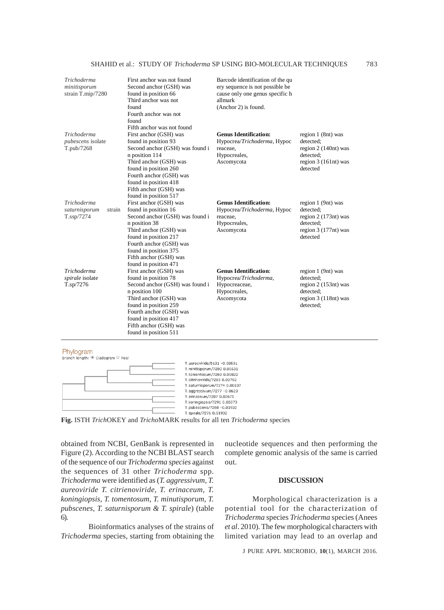| Trichoderma<br>minitisporum<br>strain T.mip/7280      | First anchor was not found<br>Second anchor (GSH) was<br>found in position 66<br>Third anchor was not<br>found<br>Fourth anchor was not<br>found                                                                                                                                                                 | Barcode identification of the qu<br>ery sequence is not possible be<br>cause only one genus specific h<br>allmark<br>(Anchor 2) is found. |                                                                                                             |
|-------------------------------------------------------|------------------------------------------------------------------------------------------------------------------------------------------------------------------------------------------------------------------------------------------------------------------------------------------------------------------|-------------------------------------------------------------------------------------------------------------------------------------------|-------------------------------------------------------------------------------------------------------------|
| Trichoderma<br><i>pubescens</i> isolate<br>T.pub/7268 | Fifth anchor was not found<br>First anchor (GSH) was<br>found in position 93<br>Second anchor (GSH) was found i<br>n position 114<br>Third anchor (GSH) was<br>found in position 260<br>Fourth anchor (GSH) was<br>found in position 418                                                                         | <b>Genus Identification:</b><br>Hypocrea/Trichoderma, Hypoc<br>reaceae,<br>Hypocreales,<br>Ascomycota                                     | region 1 (8nt) was<br>detected;<br>region $2(140nt)$ was<br>detected:<br>region $3(161nt)$ was<br>detected  |
| Trichoderma<br>saturnisporum<br>strain<br>T.ssp/7274  | Fifth anchor (GSH) was<br>found in position 517<br>First anchor (GSH) was<br>found in position 16<br>Second anchor (GSH) was found i<br>n position 38<br>Third anchor (GSH) was<br>found in position 217<br>Fourth anchor (GSH) was<br>found in position 375                                                     | <b>Genus Identification:</b><br>Hypocrea/Trichoderma, Hypoc<br>reaceae.<br>Hypocreales,<br>Ascomycota                                     | region 1 (9nt) was<br>detected;<br>region $2(173nt)$ was<br>detected:<br>region $3(177nt)$ was<br>detected  |
| Trichoderma<br>spirale isolate<br>T.sp/7276           | Fifth anchor (GSH) was<br>found in position 471<br>First anchor (GSH) was<br>found in position 78<br>Second anchor (GSH) was found i<br>n position 100<br>Third anchor (GSH) was<br>found in position 259<br>Fourth anchor (GSH) was<br>found in position 417<br>Fifth anchor (GSH) was<br>found in position 511 | <b>Genus Identification:</b><br>Hypocrea/Trichoderma,<br>Hypocreaceae,<br>Hypocreales,<br>Ascomycota                                      | region 1 (9nt) was<br>detected:<br>region $2(153nt)$ was<br>detected:<br>region $3(118nt)$ was<br>detected: |

Phylogram



**Fig.** ISTH *Trich*OKEY and *Tricho*MARK results for all ten *Trichoderma* species

obtained from NCBI, GenBank is represented in Figure (2). According to the NCBI BLAST search of the sequence of our *Trichoderma species* against the sequences of 31 other *Trichoderma* spp. *Trichoderma* were identified as (*T. aggressivum, T. aureoviride T. citrienoviride, T. erinaceum, T. koningiopsis, T. tomentosum, T. minutisporum, T. pubscenes, T. saturnisporum & T. spirale*) (table 6).

Bioinformatics analyses of the strains of *Trichoderma* species, starting from obtaining the

nucleotide sequences and then performing the complete genomic analysis of the same is carried out.

#### **DISCUSSION**

Morphological characterization is a potential tool for the characterization of *Trichoderma* species *Trichoderma* species (Anees *et al*. 2010). The few morphological characters with limited variation may lead to an overlap and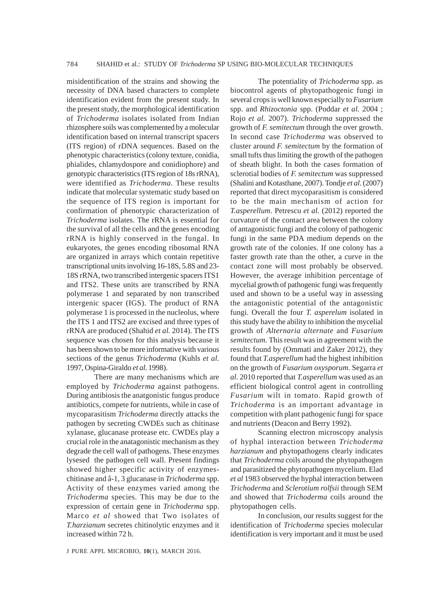misidentification of the strains and showing the necessity of DNA based characters to complete identification evident from the present study. In the present study, the morphological identification of *Trichoderma* isolates isolated from Indian rhizosphere soils was complemented by a molecular identification based on internal transcript spacers (ITS region) of rDNA sequences. Based on the phenotypic characteristics (colony texture, conidia, phialides, chlamydospore and conidiophore) and genotypic characteristics (ITS region of 18s rRNA), were identified as *Trichoderma*. These results indicate that molecular systematic study based on the sequence of ITS region is important for confirmation of phenotypic characterization of *Trichoderma* isolates. The rRNA is essential for the survival of all the cells and the genes encoding rRNA is highly conserved in the fungal. In eukaryotes, the genes encoding ribosomal RNA are organized in arrays which contain repetitive transcriptional units involving 16-18S, 5.8S and 23- 18S rRNA, two transcribed intergenic spacers ITS1 and ITS2. These units are transcribed by RNA polymerase 1 and separated by non transcribed intergenic spacer (IGS). The product of RNA polymerase 1 is processed in the nucleolus, where the ITS 1 and ITS2 are excised and three types of rRNA are produced (Shahid *et al.* 2014). The ITS sequence was chosen for this analysis because it has been shown to be more informative with various sections of the genus *Trichoderma* (Kuhls *et al*. 1997, Ospina-Giraldo *et al*. 1998).

There are many mechanisms which are employed by *Trichoderma* against pathogens. During antibiosis the anatgonistic fungus produce antibiotics, compete for nutrients, while in case of mycoparasitism *Trichoderma* directly attacks the pathogen by secreting CWDEs such as chitinase xylanase, glucanase protease etc. CWDEs play a crucial role in the anatagonistic mechanism as they degrade the cell wall of pathogens. These enzymes lysesed the pathogen cell wall. Present findings showed higher specific activity of enzymeschitinase and â-1, 3 glucanase in *Trichoderma* spp. Activity of these enzymes varied among the *Trichoderma* species. This may be due to the expression of certain gene in *Trichoderma* spp. Marco *et al* showed that Two isolates of *T.harzianum* secretes chitinolytic enzymes and it increased within 72 h.

The potentiality of *Trichoderma* spp. as biocontrol agents of phytopathogenic fungi in several crops is well known especially to *Fusarium* spp. and *Rhizoctonia* spp. (Poddar *et al.* 2004 ; Rojo *et al.* 2007). *Trichoderma* suppressed the growth of *F. semitectum* through the over growth. In second case *Trichoderma* was observed to cluster around *F. semitectum* by the formation of small tufts thus limiting the growth of the pathogen of sheath blight. In both the cases formation of sclerotial bodies of *F. semitectum* was suppressed (Shalini and Kotasthane, 2007). Tondje *et al*. (2007) reported that direct mycoparasitism is considered to be the main mechanism of action for *T.asperellum*. Petrescu *et al.* (2012) reported the curvature of the contact area between the colony of antagonistic fungi and the colony of pathogenic fungi in the same PDA medium depends on the growth rate of the colonies. If one colony has a faster growth rate than the other, a curve in the contact zone will most probably be observed. However, the average inhibition percentage of mycelial growth of pathogenic fungi was frequently used and shown to be a useful way in assessing the antagonistic potential of the antagonistic fungi. Overall the four *T. asperelum* isolated in this study have the ability to inhibition the mycelial growth of *Alternaria alternate* and *Fusarium semitectum*. This result was in agreement with the results found by (Ommati and Zaker 2012), they found that *T.asperellum* had the highest inhibition on the growth of *Fusarium oxysporum*. Segarra *et al*. 2010 reported that *T.asperellum* was used as an efficient biological control agent in controlling *Fusarium* wilt in tomato. Rapid growth of *Trichoderma* is an important advantage in competition with plant pathogenic fungi for space and nutrients (Deacon and Berry 1992).

Scanning electron microscopy analysis of hyphal interaction between *Trichoderma harzianum* and phytopathogens clearly indicates that *Trichoderma* coils around the phytopathogen and parasitized the phytopathogen mycelium. Elad *et al* 1983 observed the hyphal interaction between *Trichoderma* and *Sclerotium rolfsii* through SEM and showed that *Trichoderma* coils around the phytopathogen cells.

In conclusion, our results suggest for the identification of *Trichoderma* species molecular identification is very important and it must be used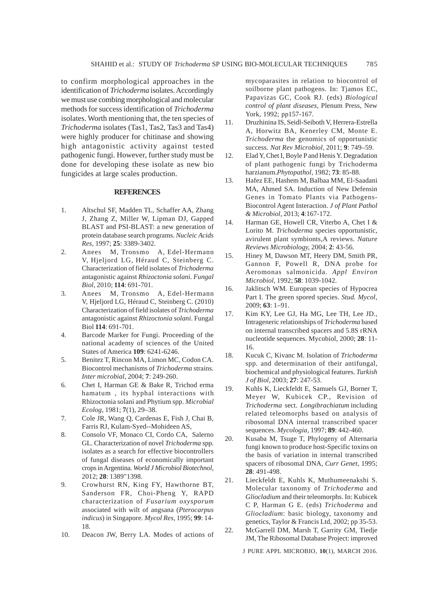to confirm morphological approaches in the identification of *Trichoderma* isolates. Accordingly we must use combing morphological and molecular methods for success identification of *Trichoderma* isolates. Worth mentioning that, the ten species of *Trichoderma* isolates (Tas1, Tas2, Tas3 and Tas4) were highly producer for chitinase and showing high antagonistic activity against tested pathogenic fungi. However, further study must be done for developing these isolate as new bio fungicides at large scales production.

#### **REFERENCES**

- 1. Altschul SF, Madden TL, Schaffer AA, Zhang J, Zhang Z, Miller W, Lipman DJ, Gapped BLAST and PSI-BLAST: a new generation of protein database search programs. *Nucleic Acids Res,* 1997; **25**: 3389-3402.
- 2. Anees M, Tronsmo A, Edel-Hermann V, Hjeljord LG, Héraud C, Steinberg C. Characterization of field isolates of *Trichoderma* antagonistic against *Rhizoctonia solani*. *Fungal Biol,* 2010; **114**: 691-701.
- 3. Anees M, Tronsmo A, Edel-Hermann V, Hjeljord LG, Héraud C, Steinberg C. (2010) Characterization of field isolates of *Trichoderma* antagonistic against *Rhizoctonia solani*. Fungal Biol **114**: 691-701.
- 4. Barcode Marker for Fungi. Proceeding of the national academy of sciences of the United States of America **109**: 6241-6246.
- 5. Benitez T, Rincon MA, Limon MC, Codon CA. Biocontrol mechanisms of *Trichoderma* strains. *Inter microbial,* 2004; **7**: 249-260.
- 6. Chet I, Harman GE & Bake R, Trichod erma hamatum , its hyphal interactions with Rhizoctonia solani and Phytium spp. *Microbial Ecolog,* 1981; **7**(1), 29–38.
- 7. Cole JR, Wang Q, Cardenas E, Fish J, Chai B, Farris RJ, Kulam-Syed--Mohideen AS,
- 8. Consolo VF, Monaco CI, Cordo CA, Salerno GL. Characterization of novel *Trichoderma* spp. isolates as a search for effective biocontrollers of fungal diseases of economically important crops in Argentina. *World J Microbiol Biotechnol,* 2012; **28**: 1389"1398.
- 9. Crowhurst RN, King FY, Hawthorne BT, Sanderson FR, Choi-Pheng Y, RAPD characterization of *Fusarium oxysporum* associated with wilt of angsana (*Pterocarpus indicus*) in Singapore. *Mycol Res,* 1995; **99**: 14- 18.
- 10. Deacon JW, Berry LA. Modes of actions of

mycoparasites in relation to biocontrol of soilborne plant pathogens. In: Tjamos EC, Papavizas GC, Cook RJ. (eds) *Biological control of plant diseases,* Plenum Press, New York, 1992; pp157-167.

- 11. Druzhinina IS, Seidl-Seiboth V, Herrera-Estrella A, Horwitz BA, Kenerley CM, Monte E. *Trichoderma* the genomics of opportunistic success. *Nat Rev Microbiol,* 2011; **9**: 749–59.
- 12. Elad Y, Chet I, Boyle P and Henis Y. Degradation of plant pathogenic fungi by Trichoderma harzianum.*Phytopathol,* 1982; **73**: 85-88.
- 13. Hafez EE, Hashem M, Balbaa MM, El-Saadani MA, Ahmed SA. Induction of New Defensin Genes in Tomato Plants via Pathogens-Biocontrol Agent Interaction. *J of Plant Pathol & Microbiol,* 2013; **4**:167-172.
- 14. Harman GE, Howell CR, Viterbo A, Chet I & Lorito M. *Trichoderma* species opportunistic, avirulent plant symbionts,A reviews. *Nature Reviews Microbiology,* 2004; **2**: 43-56.
- 15. Hiney M, Dawson MT, Heery DM, Smith PR, Gannon F, Powell R, DNA probe for Aeromonas salmonicida. *Appl Environ Microbiol,* 1992; **58**: 1039-1042.
- 16. Jaklitsch WM. European species of Hypocrea Part I. The green spored species. *Stud. Mycol,* 2009; **63**: 1–91.
- 17. Kim KY, Lee GJ, Ha MG, Lee TH, Lee JD., Intrageneric relationships of *Trichoderma* based on internal transcribed spacers and 5.8S rRNA nucleotide sequences. Mycobiol, 2000; **28**: 11- 16.
- 18. Kucuk C, Kivanc M. Isolation of *Trichoderma* spp. and determination of their antifungal, biochemical and physiological features. *Turkish J of Biol,* 2003; **27**: 247-53.
- 19. Kuhls K, Lieckfeldt E, Samuels GJ, Borner T, Meyer W, Kubicek CP., Revision of *Trichoderma* sect. *Longibrachiatum* including related teleomorphs based on analysis of ribosomal DNA internal transcribed spacer sequences. *Mycologia,* 1997; **89**: 442-460.
- 20. Kusaba M, Tsuge T, Phylogeny of Alternaria fungi known to produce host-Specific toxins on the basis of variation in internal transcribed spacers of ribosomal DNA, *Curr Genet,* 1995; **28**: 491-498.
- 21. Lieckfeldt E, Kuhls K, Muthumeenakshi S. Molecular taxonomy of *Trichoderma* and *Gliocladium* and their teleomorphs. In: Kubicek C P, Harman G E. (eds) *Trichoderma* and *Gliocladium*: basic biology, taxonomy and genetics, Taylor & Francis Ltd, 2002; pp 35-53.
- 22. McGarrell DM, Marsh T, Garrity GM, Tiedje JM, The Ribosomal Database Project: improved